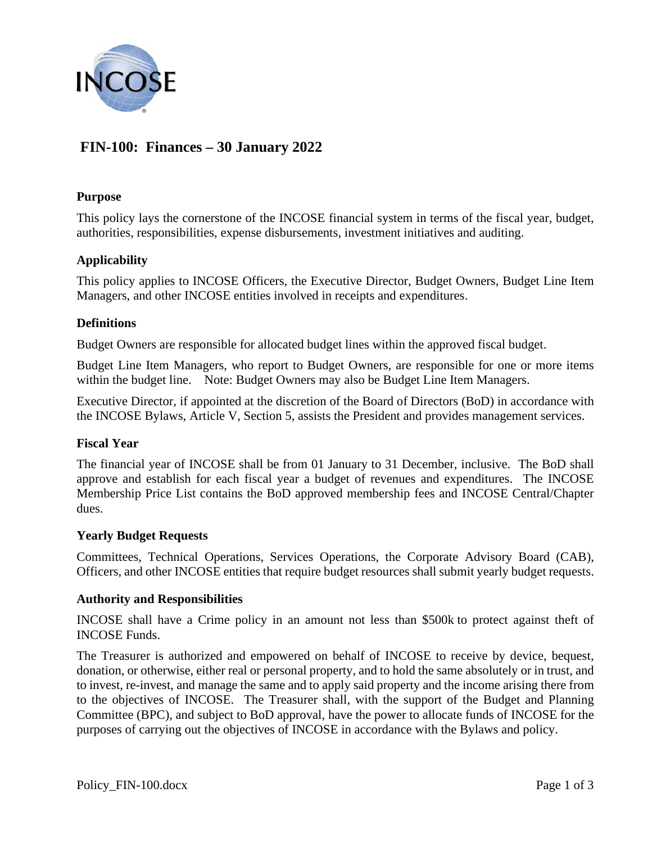

# **FIN-100: Finances – 30 January 2022**

## **Purpose**

This policy lays the cornerstone of the INCOSE financial system in terms of the fiscal year, budget, authorities, responsibilities, expense disbursements, investment initiatives and auditing.

# **Applicability**

This policy applies to INCOSE Officers, the Executive Director, Budget Owners, Budget Line Item Managers, and other INCOSE entities involved in receipts and expenditures.

## **Definitions**

Budget Owners are responsible for allocated budget lines within the approved fiscal budget.

Budget Line Item Managers, who report to Budget Owners, are responsible for one or more items within the budget line. Note: Budget Owners may also be Budget Line Item Managers.

Executive Director, if appointed at the discretion of the Board of Directors (BoD) in accordance with the INCOSE Bylaws, Article V, Section 5, assists the President and provides management services.

#### **Fiscal Year**

The financial year of INCOSE shall be from 01 January to 31 December, inclusive. The BoD shall approve and establish for each fiscal year a budget of revenues and expenditures. The INCOSE Membership Price List contains the BoD approved membership fees and INCOSE Central/Chapter dues.

#### **Yearly Budget Requests**

Committees, Technical Operations, Services Operations, the Corporate Advisory Board (CAB), Officers, and other INCOSE entities that require budget resources shall submit yearly budget requests.

#### **Authority and Responsibilities**

INCOSE shall have a Crime policy in an amount not less than \$500k to protect against theft of INCOSE Funds.

The Treasurer is authorized and empowered on behalf of INCOSE to receive by device, bequest, donation, or otherwise, either real or personal property, and to hold the same absolutely or in trust, and to invest, re-invest, and manage the same and to apply said property and the income arising there from to the objectives of INCOSE. The Treasurer shall, with the support of the Budget and Planning Committee (BPC), and subject to BoD approval, have the power to allocate funds of INCOSE for the purposes of carrying out the objectives of INCOSE in accordance with the Bylaws and policy.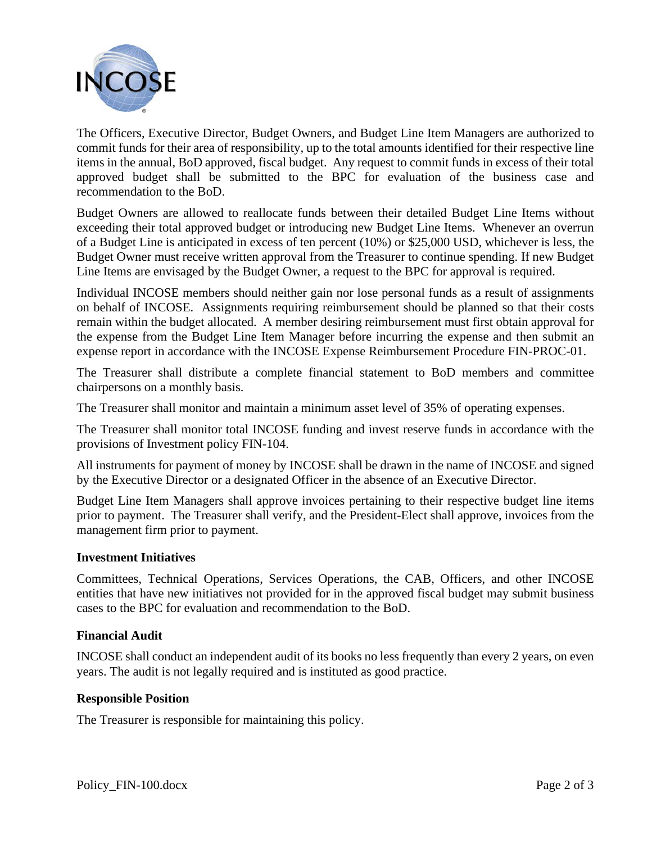

The Officers, Executive Director, Budget Owners, and Budget Line Item Managers are authorized to commit funds for their area of responsibility, up to the total amounts identified for their respective line items in the annual, BoD approved, fiscal budget. Any request to commit funds in excess of their total approved budget shall be submitted to the BPC for evaluation of the business case and recommendation to the BoD.

Budget Owners are allowed to reallocate funds between their detailed Budget Line Items without exceeding their total approved budget or introducing new Budget Line Items. Whenever an overrun of a Budget Line is anticipated in excess of ten percent (10%) or \$25,000 USD, whichever is less, the Budget Owner must receive written approval from the Treasurer to continue spending. If new Budget Line Items are envisaged by the Budget Owner, a request to the BPC for approval is required.

Individual INCOSE members should neither gain nor lose personal funds as a result of assignments on behalf of INCOSE. Assignments requiring reimbursement should be planned so that their costs remain within the budget allocated. A member desiring reimbursement must first obtain approval for the expense from the Budget Line Item Manager before incurring the expense and then submit an expense report in accordance with the INCOSE Expense Reimbursement Procedure FIN-PROC-01.

The Treasurer shall distribute a complete financial statement to BoD members and committee chairpersons on a monthly basis.

The Treasurer shall monitor and maintain a minimum asset level of 35% of operating expenses.

The Treasurer shall monitor total INCOSE funding and invest reserve funds in accordance with the provisions of Investment policy FIN-104.

All instruments for payment of money by INCOSE shall be drawn in the name of INCOSE and signed by the Executive Director or a designated Officer in the absence of an Executive Director.

Budget Line Item Managers shall approve invoices pertaining to their respective budget line items prior to payment. The Treasurer shall verify, and the President-Elect shall approve, invoices from the management firm prior to payment.

# **Investment Initiatives**

Committees, Technical Operations, Services Operations, the CAB, Officers, and other INCOSE entities that have new initiatives not provided for in the approved fiscal budget may submit business cases to the BPC for evaluation and recommendation to the BoD.

# **Financial Audit**

INCOSE shall conduct an independent audit of its books no less frequently than every 2 years, on even years. The audit is not legally required and is instituted as good practice.

# **Responsible Position**

The Treasurer is responsible for maintaining this policy.